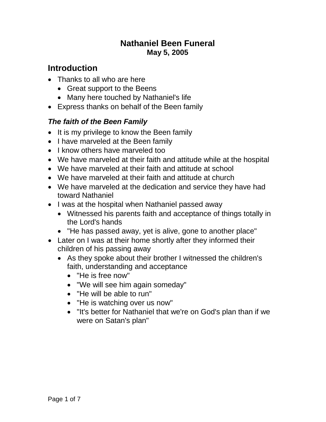### **Nathaniel Been Funeral May 5, 2005**

## **Introduction**

- Thanks to all who are here
	- Great support to the Beens
	- Many here touched by Nathaniel's life
- Express thanks on behalf of the Been family

### *The faith of the Been Family*

- It is my privilege to know the Been family
- I have marveled at the Been family
- I know others have marveled too
- We have marveled at their faith and attitude while at the hospital
- We have marveled at their faith and attitude at school
- We have marveled at their faith and attitude at church
- We have marveled at the dedication and service they have had toward Nathaniel
- I was at the hospital when Nathaniel passed away
	- Witnessed his parents faith and acceptance of things totally in the Lord's hands
	- "He has passed away, yet is alive, gone to another place"
- Later on I was at their home shortly after they informed their children of his passing away
	- As they spoke about their brother I witnessed the children's faith, understanding and acceptance
		- "He is free now"
		- "We will see him again someday"
		- "He will be able to run"
		- "He is watching over us now"
		- "It's better for Nathaniel that we're on God's plan than if we were on Satan's plan"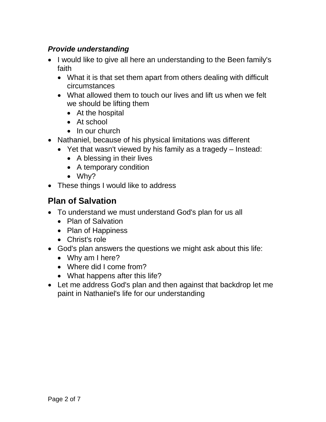### *Provide understanding*

- I would like to give all here an understanding to the Been family's faith
	- What it is that set them apart from others dealing with difficult circumstances
	- What allowed them to touch our lives and lift us when we felt we should be lifting them
		- At the hospital
		- At school
		- In our church
- Nathaniel, because of his physical limitations was different
	- Yet that wasn't viewed by his family as a tragedy Instead:
		- A blessing in their lives
		- A temporary condition
		- Why?
- These things I would like to address

## **Plan of Salvation**

- To understand we must understand God's plan for us all
	- Plan of Salvation
	- Plan of Happiness
	- Christ's role
- God's plan answers the questions we might ask about this life:
	- Why am I here?
	- Where did I come from?
	- What happens after this life?
- Let me address God's plan and then against that backdrop let me paint in Nathaniel's life for our understanding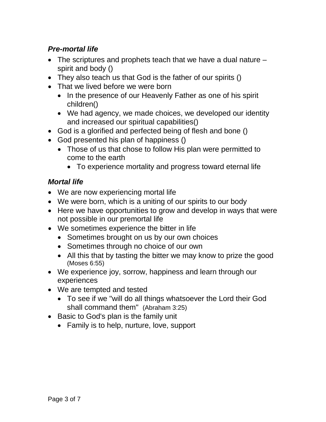### *Pre-mortal life*

- The scriptures and prophets teach that we have a dual nature spirit and body ()
- They also teach us that God is the father of our spirits ()
- That we lived before we were born
	- In the presence of our Heavenly Father as one of his spirit children()
	- We had agency, we made choices, we developed our identity and increased our spiritual capabilities()
- God is a glorified and perfected being of flesh and bone ()
- God presented his plan of happiness ()
	- Those of us that chose to follow His plan were permitted to come to the earth
		- To experience mortality and progress toward eternal life

#### *Mortal life*

- We are now experiencing mortal life
- We were born, which is a uniting of our spirits to our body
- Here we have opportunities to grow and develop in ways that were not possible in our premortal life
- We sometimes experience the bitter in life
	- Sometimes brought on us by our own choices
	- Sometimes through no choice of our own
	- All this that by tasting the bitter we may know to prize the good (Moses 6:55)
- We experience joy, sorrow, happiness and learn through our experiences
- We are tempted and tested
	- To see if we "will do all things whatsoever the Lord their God shall command them" (Abraham 3:25)
- Basic to God's plan is the family unit
	- Family is to help, nurture, love, support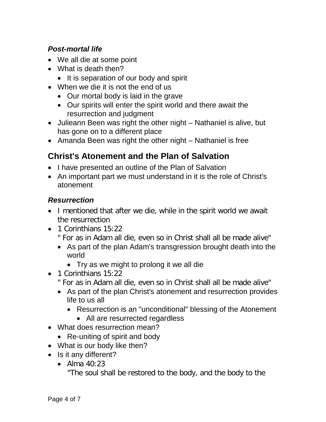### *Post-mortal life*

- We all die at some point
- What is death then?
	- It is separation of our body and spirit
- When we die it is not the end of us
	- Our mortal body is laid in the grave
	- Our spirits will enter the spirit world and there await the resurrection and judgment
- Julieann Been was right the other night Nathaniel is alive, but has gone on to a different place
- Amanda Been was right the other night Nathaniel is free

# **Christ's Atonement and the Plan of Salvation**

- I have presented an outline of the Plan of Salvation
- An important part we must understand in it is the role of Christ's atonement

### *Resurrection*

- I mentioned that after we die, while in the spirit world we await the resurrection
- 1 Corinthians 15:22
	- " For as in Adam all die, even so in Christ shall all be made alive"
	- As part of the plan Adam's transgression brought death into the world
		- Try as we might to prolong it we all die
- 1 Corinthians 15:22
	- " For as in Adam all die, even so in Christ shall all be made alive"
	- As part of the plan Christ's atonement and resurrection provides life to us all
		- Resurrection is an "unconditional" blessing of the Atonement
			- All are resurrected regardless
- What does resurrection mean?
	- Re-uniting of spirit and body
- What is our body like then?
- Is it any different?
	- Alma 40:23

"The soul shall be restored to the body, and the body to the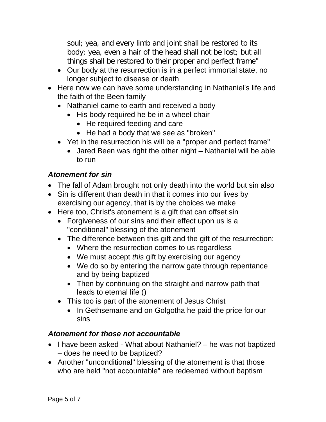soul; yea, and every limb and joint shall be restored to its body; yea, even a hair of the head shall not be lost; but all things shall be restored to their proper and perfect frame"

- Our body at the resurrection is in a perfect immortal state, no longer subject to disease or death
- Here now we can have some understanding in Nathaniel's life and the faith of the Been family
	- Nathaniel came to earth and received a body
		- His body required he be in a wheel chair
			- He required feeding and care
			- He had a body that we see as "broken"
	- Yet in the resurrection his will be a "proper and perfect frame"
		- Jared Been was right the other night Nathaniel will be able to run

### *Atonement for sin*

- The fall of Adam brought not only death into the world but sin also
- Sin is different than death in that it comes into our lives by exercising our agency, that is by the choices we make
- Here too, Christ's atonement is a gift that can offset sin
	- Forgiveness of our sins and their effect upon us is a "conditional" blessing of the atonement
	- The difference between this gift and the gift of the resurrection:
		- Where the resurrection comes to us regardless
		- We must accept *this* gift by exercising our agency
		- We do so by entering the narrow gate through repentance and by being baptized
		- Then by continuing on the straight and narrow path that leads to eternal life ()
	- This too is part of the atonement of Jesus Christ
		- In Gethsemane and on Golgotha he paid the price for our sins

### *Atonement for those not accountable*

- I have been asked What about Nathaniel? he was not baptized – does he need to be baptized?
- Another "unconditional" blessing of the atonement is that those who are held "not accountable" are redeemed without baptism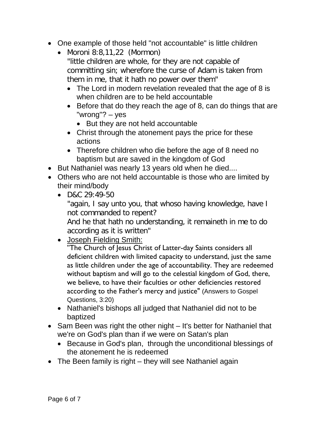- One example of those held "not accountable" is little children
	- Moroni 8:8,11,22 (Mormon) "little children are whole, for they are not capable of committing sin; wherefore the curse of Adam is taken from them in me, that it hath no power over them"
		- The Lord in modern revelation revealed that the age of 8 is when children are to be held accountable
		- Before that do they reach the age of 8, can do things that are "wrong"? – yes
			- But they are not held accountable
		- Christ through the atonement pays the price for these actions
		- Therefore children who die before the age of 8 need no baptism but are saved in the kingdom of God
- But Nathaniel was nearly 13 years old when he died....
- Others who are not held accountable is those who are limited by their mind/body
	- D&C 29:49-50

"again, I say unto you, that whoso having knowledge, have I not commanded to repent?

And he that hath no understanding, it remaineth in me to do according as it is written"

### • Joseph Fielding Smith:

"The Church of Jesus Christ of Latter-day Saints considers all deficient children with limited capacity to understand, just the same as little children under the age of accountability. They are redeemed without baptism and will go to the celestial kingdom of God, there, we believe, to have their faculties or other deficiencies restored according to the Father's mercy and justice" (Answers to Gospel Questions, 3:20)

- Nathaniel's bishops all judged that Nathaniel did not to be baptized
- Sam Been was right the other night It's better for Nathaniel that we're on God's plan than if we were on Satan's plan
	- Because in God's plan, through the unconditional blessings of the atonement he is redeemed
- The Been family is right they will see Nathaniel again